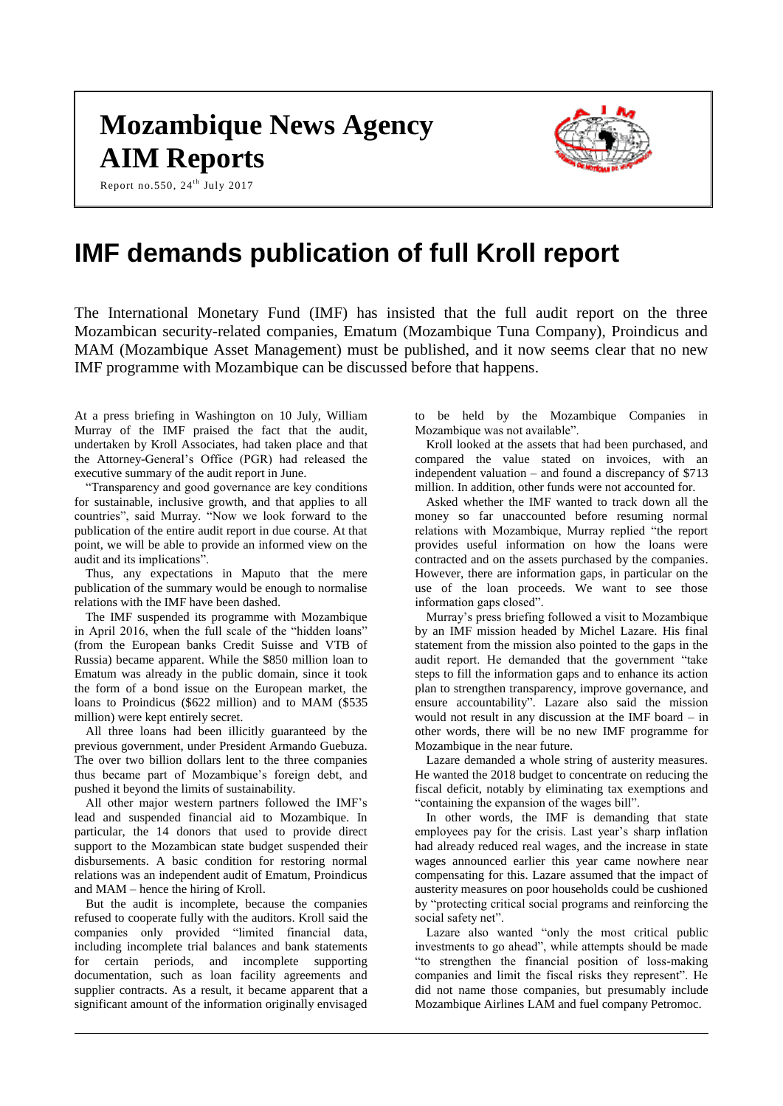# **Mozambique News Agency AIM Reports**



Report no.550,  $24^{\text{th}}$  July 2017

## **IMF demands publication of full Kroll report**

The International Monetary Fund (IMF) has insisted that the full audit report on the three Mozambican security-related companies, Ematum (Mozambique Tuna Company), Proindicus and MAM (Mozambique Asset Management) must be published, and it now seems clear that no new IMF programme with Mozambique can be discussed before that happens.

At a press briefing in Washington on 10 July, William Murray of the IMF praised the fact that the audit, undertaken by Kroll Associates, had taken place and that the Attorney-General's Office (PGR) had released the executive summary of the audit report in June.

"Transparency and good governance are key conditions for sustainable, inclusive growth, and that applies to all countries", said Murray. "Now we look forward to the publication of the entire audit report in due course. At that point, we will be able to provide an informed view on the audit and its implications".

Thus, any expectations in Maputo that the mere publication of the summary would be enough to normalise relations with the IMF have been dashed.

The IMF suspended its programme with Mozambique in April 2016, when the full scale of the "hidden loans" (from the European banks Credit Suisse and VTB of Russia) became apparent. While the \$850 million loan to Ematum was already in the public domain, since it took the form of a bond issue on the European market, the loans to Proindicus (\$622 million) and to MAM (\$535 million) were kept entirely secret.

All three loans had been illicitly guaranteed by the previous government, under President Armando Guebuza. The over two billion dollars lent to the three companies thus became part of Mozambique's foreign debt, and pushed it beyond the limits of sustainability.

All other major western partners followed the IMF's lead and suspended financial aid to Mozambique. In particular, the 14 donors that used to provide direct support to the Mozambican state budget suspended their disbursements. A basic condition for restoring normal relations was an independent audit of Ematum, Proindicus and MAM – hence the hiring of Kroll.

But the audit is incomplete, because the companies refused to cooperate fully with the auditors. Kroll said the companies only provided "limited financial data, including incomplete trial balances and bank statements for certain periods, and incomplete supporting documentation, such as loan facility agreements and supplier contracts. As a result, it became apparent that a significant amount of the information originally envisaged to be held by the Mozambique Companies in Mozambique was not available".

Kroll looked at the assets that had been purchased, and compared the value stated on invoices, with an independent valuation – and found a discrepancy of \$713 million. In addition, other funds were not accounted for.

Asked whether the IMF wanted to track down all the money so far unaccounted before resuming normal relations with Mozambique, Murray replied "the report provides useful information on how the loans were contracted and on the assets purchased by the companies. However, there are information gaps, in particular on the use of the loan proceeds. We want to see those information gaps closed".

Murray's press briefing followed a visit to Mozambique by an IMF mission headed by Michel Lazare. His final statement from the mission also pointed to the gaps in the audit report. He demanded that the government "take steps to fill the information gaps and to enhance its action plan to strengthen transparency, improve governance, and ensure accountability". Lazare also said the mission would not result in any discussion at the IMF board – in other words, there will be no new IMF programme for Mozambique in the near future.

Lazare demanded a whole string of austerity measures. He wanted the 2018 budget to concentrate on reducing the fiscal deficit, notably by eliminating tax exemptions and "containing the expansion of the wages bill".

In other words, the IMF is demanding that state employees pay for the crisis. Last year's sharp inflation had already reduced real wages, and the increase in state wages announced earlier this year came nowhere near compensating for this. Lazare assumed that the impact of austerity measures on poor households could be cushioned by "protecting critical social programs and reinforcing the social safety net".

Lazare also wanted "only the most critical public investments to go ahead", while attempts should be made "to strengthen the financial position of loss-making companies and limit the fiscal risks they represent". He did not name those companies, but presumably include Mozambique Airlines LAM and fuel company Petromoc.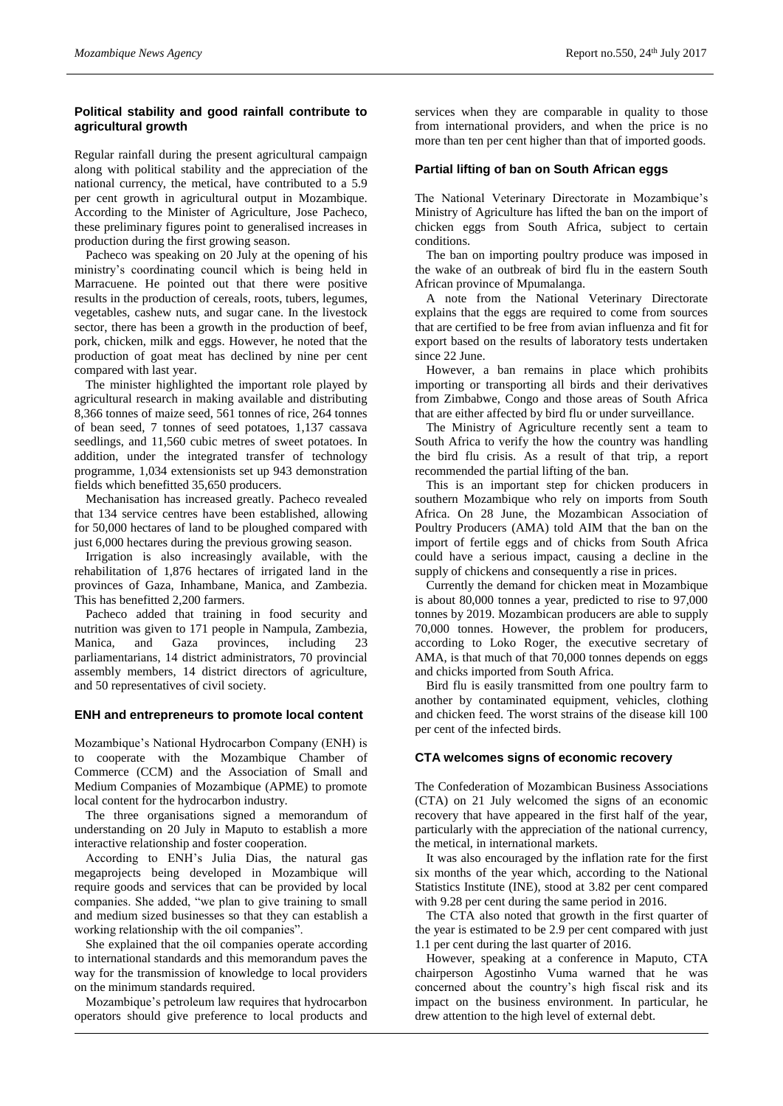## **Political stability and good rainfall contribute to agricultural growth**

Regular rainfall during the present agricultural campaign along with political stability and the appreciation of the national currency, the metical, have contributed to a 5.9 per cent growth in agricultural output in Mozambique. According to the Minister of Agriculture, Jose Pacheco, these preliminary figures point to generalised increases in production during the first growing season.

Pacheco was speaking on 20 July at the opening of his ministry's coordinating council which is being held in Marracuene. He pointed out that there were positive results in the production of cereals, roots, tubers, legumes, vegetables, cashew nuts, and sugar cane. In the livestock sector, there has been a growth in the production of beef, pork, chicken, milk and eggs. However, he noted that the production of goat meat has declined by nine per cent compared with last year.

The minister highlighted the important role played by agricultural research in making available and distributing 8,366 tonnes of maize seed, 561 tonnes of rice, 264 tonnes of bean seed, 7 tonnes of seed potatoes, 1,137 cassava seedlings, and 11,560 cubic metres of sweet potatoes. In addition, under the integrated transfer of technology programme, 1,034 extensionists set up 943 demonstration fields which benefitted 35,650 producers.

Mechanisation has increased greatly. Pacheco revealed that 134 service centres have been established, allowing for 50,000 hectares of land to be ploughed compared with just 6,000 hectares during the previous growing season.

Irrigation is also increasingly available, with the rehabilitation of 1,876 hectares of irrigated land in the provinces of Gaza, Inhambane, Manica, and Zambezia. This has benefitted 2,200 farmers.

Pacheco added that training in food security and nutrition was given to 171 people in Nampula, Zambezia, Manica, and Gaza provinces, including 23 parliamentarians, 14 district administrators, 70 provincial assembly members, 14 district directors of agriculture, and 50 representatives of civil society.

## **ENH and entrepreneurs to promote local content**

Mozambique's National Hydrocarbon Company (ENH) is to cooperate with the Mozambique Chamber of Commerce (CCM) and the Association of Small and Medium Companies of Mozambique (APME) to promote local content for the hydrocarbon industry.

The three organisations signed a memorandum of understanding on 20 July in Maputo to establish a more interactive relationship and foster cooperation.

According to ENH's Julia Dias, the natural gas megaprojects being developed in Mozambique will require goods and services that can be provided by local companies. She added, "we plan to give training to small and medium sized businesses so that they can establish a working relationship with the oil companies".

She explained that the oil companies operate according to international standards and this memorandum paves the way for the transmission of knowledge to local providers on the minimum standards required.

Mozambique's petroleum law requires that hydrocarbon operators should give preference to local products and

services when they are comparable in quality to those from international providers, and when the price is no more than ten per cent higher than that of imported goods.

## **Partial lifting of ban on South African eggs**

The National Veterinary Directorate in Mozambique's Ministry of Agriculture has lifted the ban on the import of chicken eggs from South Africa, subject to certain conditions.

The ban on importing poultry produce was imposed in the wake of an outbreak of bird flu in the eastern South African province of Mpumalanga.

A note from the National Veterinary Directorate explains that the eggs are required to come from sources that are certified to be free from avian influenza and fit for export based on the results of laboratory tests undertaken since 22 June.

However, a ban remains in place which prohibits importing or transporting all birds and their derivatives from Zimbabwe, Congo and those areas of South Africa that are either affected by bird flu or under surveillance.

The Ministry of Agriculture recently sent a team to South Africa to verify the how the country was handling the bird flu crisis. As a result of that trip, a report recommended the partial lifting of the ban.

This is an important step for chicken producers in southern Mozambique who rely on imports from South Africa. On 28 June, the Mozambican Association of Poultry Producers (AMA) told AIM that the ban on the import of fertile eggs and of chicks from South Africa could have a serious impact, causing a decline in the supply of chickens and consequently a rise in prices.

Currently the demand for chicken meat in Mozambique is about 80,000 tonnes a year, predicted to rise to 97,000 tonnes by 2019. Mozambican producers are able to supply 70,000 tonnes. However, the problem for producers, according to Loko Roger, the executive secretary of AMA, is that much of that 70,000 tonnes depends on eggs and chicks imported from South Africa.

Bird flu is easily transmitted from one poultry farm to another by contaminated equipment, vehicles, clothing and chicken feed. The worst strains of the disease kill 100 per cent of the infected birds.

## **CTA welcomes signs of economic recovery**

The Confederation of Mozambican Business Associations (CTA) on 21 July welcomed the signs of an economic recovery that have appeared in the first half of the year, particularly with the appreciation of the national currency, the metical, in international markets.

It was also encouraged by the inflation rate for the first six months of the year which, according to the National Statistics Institute (INE), stood at 3.82 per cent compared with 9.28 per cent during the same period in 2016.

The CTA also noted that growth in the first quarter of the year is estimated to be 2.9 per cent compared with just 1.1 per cent during the last quarter of 2016.

However, speaking at a conference in Maputo, CTA chairperson Agostinho Vuma warned that he was concerned about the country's high fiscal risk and its impact on the business environment. In particular, he drew attention to the high level of external debt.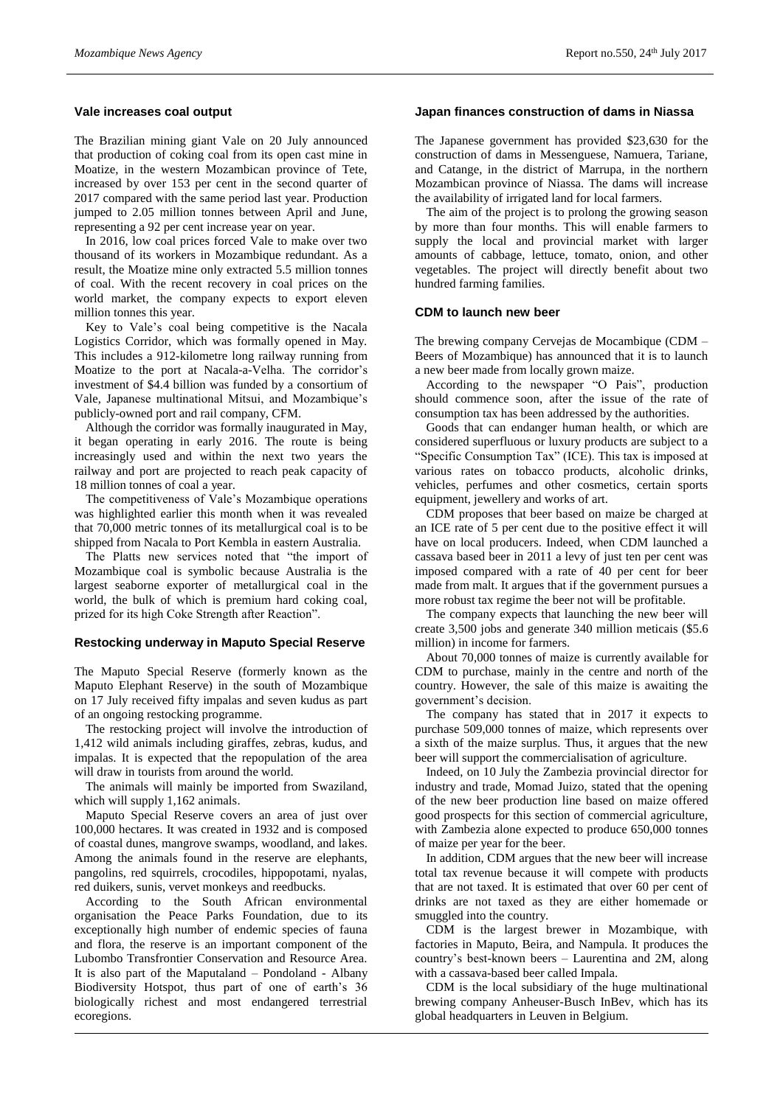## **Vale increases coal output**

The Brazilian mining giant Vale on 20 July announced that production of coking coal from its open cast mine in Moatize, in the western Mozambican province of Tete, increased by over 153 per cent in the second quarter of 2017 compared with the same period last year. Production jumped to 2.05 million tonnes between April and June, representing a 92 per cent increase year on year.

In 2016, low coal prices forced Vale to make over two thousand of its workers in Mozambique redundant. As a result, the Moatize mine only extracted 5.5 million tonnes of coal. With the recent recovery in coal prices on the world market, the company expects to export eleven million tonnes this year.

Key to Vale's coal being competitive is the Nacala Logistics Corridor, which was formally opened in May. This includes a 912-kilometre long railway running from Moatize to the port at Nacala-a-Velha. The corridor's investment of \$4.4 billion was funded by a consortium of Vale, Japanese multinational Mitsui, and Mozambique's publicly-owned port and rail company, CFM.

Although the corridor was formally inaugurated in May, it began operating in early 2016. The route is being increasingly used and within the next two years the railway and port are projected to reach peak capacity of 18 million tonnes of coal a year.

The competitiveness of Vale's Mozambique operations was highlighted earlier this month when it was revealed that 70,000 metric tonnes of its metallurgical coal is to be shipped from Nacala to Port Kembla in eastern Australia.

The Platts new services noted that "the import of Mozambique coal is symbolic because Australia is the largest seaborne exporter of metallurgical coal in the world, the bulk of which is premium hard coking coal, prized for its high Coke Strength after Reaction".

## **Restocking underway in Maputo Special Reserve**

The Maputo Special Reserve (formerly known as the Maputo Elephant Reserve) in the south of Mozambique on 17 July received fifty impalas and seven kudus as part of an ongoing restocking programme.

The restocking project will involve the introduction of 1,412 wild animals including giraffes, zebras, kudus, and impalas. It is expected that the repopulation of the area will draw in tourists from around the world.

The animals will mainly be imported from Swaziland, which will supply 1,162 animals.

Maputo Special Reserve covers an area of just over 100,000 hectares. It was created in 1932 and is composed of coastal dunes, mangrove swamps, woodland, and lakes. Among the animals found in the reserve are elephants, pangolins, red squirrels, crocodiles, hippopotami, nyalas, red duikers, sunis, vervet monkeys and reedbucks.

According to the South African environmental organisation the Peace Parks Foundation, due to its exceptionally high number of endemic species of fauna and flora, the reserve is an important component of the Lubombo Transfrontier Conservation and Resource Area. It is also part of the Maputaland – Pondoland - Albany Biodiversity Hotspot, thus part of one of earth's 36 biologically richest and most endangered terrestrial ecoregions.

## **Japan finances construction of dams in Niassa**

The Japanese government has provided \$23,630 for the construction of dams in Messenguese, Namuera, Tariane, and Catange, in the district of Marrupa, in the northern Mozambican province of Niassa. The dams will increase the availability of irrigated land for local farmers.

The aim of the project is to prolong the growing season by more than four months. This will enable farmers to supply the local and provincial market with larger amounts of cabbage, lettuce, tomato, onion, and other vegetables. The project will directly benefit about two hundred farming families.

#### **CDM to launch new beer**

The brewing company Cervejas de Mocambique (CDM – Beers of Mozambique) has announced that it is to launch a new beer made from locally grown maize.

According to the newspaper "O Pais", production should commence soon, after the issue of the rate of consumption tax has been addressed by the authorities.

Goods that can endanger human health, or which are considered superfluous or luxury products are subject to a "Specific Consumption Tax" (ICE). This tax is imposed at various rates on tobacco products, alcoholic drinks, vehicles, perfumes and other cosmetics, certain sports equipment, jewellery and works of art.

CDM proposes that beer based on maize be charged at an ICE rate of 5 per cent due to the positive effect it will have on local producers. Indeed, when CDM launched a cassava based beer in 2011 a levy of just ten per cent was imposed compared with a rate of 40 per cent for beer made from malt. It argues that if the government pursues a more robust tax regime the beer not will be profitable.

The company expects that launching the new beer will create 3,500 jobs and generate 340 million meticais (\$5.6 million) in income for farmers.

About 70,000 tonnes of maize is currently available for CDM to purchase, mainly in the centre and north of the country. However, the sale of this maize is awaiting the government's decision.

The company has stated that in 2017 it expects to purchase 509,000 tonnes of maize, which represents over a sixth of the maize surplus. Thus, it argues that the new beer will support the commercialisation of agriculture.

Indeed, on 10 July the Zambezia provincial director for industry and trade, Momad Juizo, stated that the opening of the new beer production line based on maize offered good prospects for this section of commercial agriculture, with Zambezia alone expected to produce 650,000 tonnes of maize per year for the beer.

In addition, CDM argues that the new beer will increase total tax revenue because it will compete with products that are not taxed. It is estimated that over 60 per cent of drinks are not taxed as they are either homemade or smuggled into the country.

CDM is the largest brewer in Mozambique, with factories in Maputo, Beira, and Nampula. It produces the country's best-known beers – Laurentina and 2M, along with a cassava-based beer called Impala.

CDM is the local subsidiary of the huge multinational brewing company Anheuser-Busch InBev, which has its global headquarters in Leuven in Belgium.